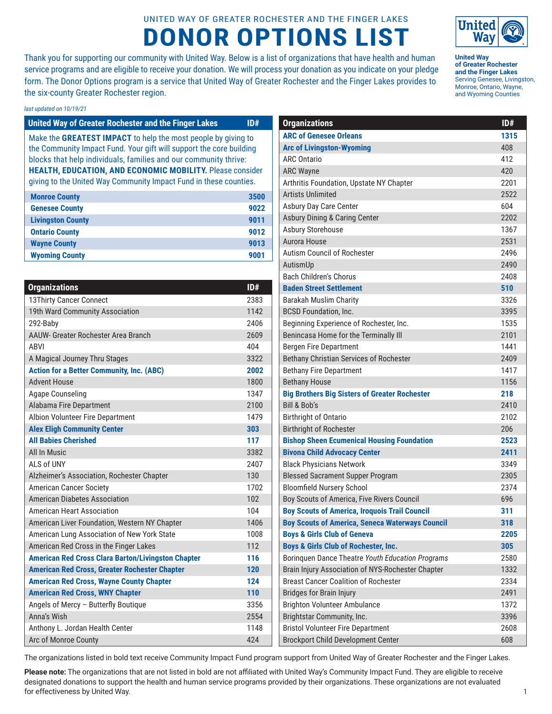## UNITED WAY OF GREATER ROCHESTER AND THE FINGER LAKES **DONOR OPTIONS LIST**

Thank you for supporting our community with United Way. Below is a list of organizations that have health and human service programs and are eligible to receive your donation. We will process your donation as you indicate on your pledge form. The Donor Options program is a service that United Way of Greater Rochester and the Finger Lakes provides to the six-county Greater Rochester region.

## *last updated on 10/19/21*

| <b>United Way of Greater Rochester and the Finger Lakes</b>         | 10# |
|---------------------------------------------------------------------|-----|
| Make the GREATEST IMPACT to help the most people by giving to       |     |
| the Community Impact Fund. Your gift will support the core building |     |
| blocks that help individuals, families and our community thrive:    |     |
| <b>HEALTH, EDUCATION, AND ECONOMIC MOBILITY.</b> Please consider    |     |
| giving to the United Way Community Impact Fund in these counties.   |     |
|                                                                     |     |

| <b>Monroe County</b>     | 3500 |
|--------------------------|------|
| <b>Genesee County</b>    | 9022 |
| <b>Livingston County</b> | 9011 |
| <b>Ontario County</b>    | 9012 |
| <b>Wayne County</b>      | 9013 |
| <b>Wyoming County</b>    | 9001 |

| <b>Organizations</b>                                      | ID#  |
|-----------------------------------------------------------|------|
| 13Thirty Cancer Connect                                   | 2383 |
| 19th Ward Community Association                           | 1142 |
| 292-Baby                                                  | 2406 |
| AAUW- Greater Rochester Area Branch                       | 2609 |
| ARVI                                                      | 404  |
| A Magical Journey Thru Stages                             | 3322 |
| <b>Action for a Better Community, Inc. (ABC)</b>          | 2002 |
| <b>Advent House</b>                                       | 1800 |
| Agape Counseling                                          | 1347 |
| Alabama Fire Department                                   | 2100 |
| Albion Volunteer Fire Department                          | 1479 |
| <b>Alex Eligh Community Center</b>                        | 303  |
| <b>All Babies Cherished</b>                               | 117  |
| All In Music                                              | 3382 |
| ALS of UNY                                                | 2407 |
| Alzheimer's Association, Rochester Chapter                | 130  |
| <b>American Cancer Society</b>                            | 1702 |
| American Diabetes Association                             | 102  |
| <b>American Heart Association</b>                         | 104  |
| American Liver Foundation, Western NY Chapter             | 1406 |
| American Lung Association of New York State               | 1008 |
| American Red Cross in the Finger Lakes                    | 112  |
| <b>American Red Cross Clara Barton/Livingston Chapter</b> | 116  |
| <b>American Red Cross, Greater Rochester Chapter</b>      | 120  |
| <b>American Red Cross, Wayne County Chapter</b>           | 124  |
| <b>American Red Cross, WNY Chapter</b>                    | 110  |
| Angels of Mercy - Butterfly Boutique                      | 3356 |
| Anna's Wish                                               | 2554 |
| Anthony L. Jordan Health Center                           | 1148 |
| Arc of Monroe County                                      | 424  |

| st updated on 10/19/21                                              |      |                                                        |      |
|---------------------------------------------------------------------|------|--------------------------------------------------------|------|
| <b>United Way of Greater Rochester and the Finger Lakes</b>         | ID#  | <b>Organizations</b>                                   | ID#  |
| Make the GREATEST IMPACT to help the most people by giving to       |      | <b>ARC of Genesee Orleans</b>                          | 1315 |
| the Community Impact Fund. Your gift will support the core building |      | <b>Arc of Livingston-Wyoming</b>                       | 408  |
| blocks that help individuals, families and our community thrive:    |      | <b>ARC Ontario</b>                                     | 412  |
| <b>HEALTH, EDUCATION, AND ECONOMIC MOBILITY.</b> Please consider    |      | <b>ARC Wayne</b>                                       | 420  |
| giving to the United Way Community Impact Fund in these counties.   |      | Arthritis Foundation, Upstate NY Chapter               | 2201 |
| <b>Monroe County</b>                                                | 3500 | <b>Artists Unlimited</b>                               | 2522 |
| <b>Genesee County</b>                                               | 9022 | Asbury Day Care Center                                 | 604  |
| <b>Livingston County</b>                                            | 9011 | <b>Asbury Dining &amp; Caring Center</b>               | 2202 |
| <b>Ontario County</b>                                               | 9012 | Asbury Storehouse                                      | 1367 |
| <b>Wayne County</b>                                                 | 9013 | Aurora House                                           | 2531 |
| <b>Wyoming County</b>                                               | 9001 | Autism Council of Rochester                            | 2496 |
|                                                                     |      | AutismUp                                               | 2490 |
|                                                                     |      | <b>Bach Children's Chorus</b>                          | 2408 |
| <b>Organizations</b>                                                | ID#  | <b>Baden Street Settlement</b>                         | 510  |
| 13Thirty Cancer Connect                                             | 2383 | <b>Barakah Muslim Charity</b>                          | 3326 |
| 19th Ward Community Association                                     | 1142 | <b>BCSD Foundation, Inc.</b>                           | 3395 |
| 292-Baby                                                            | 2406 | Beginning Experience of Rochester, Inc.                | 1535 |
| AAUW- Greater Rochester Area Branch                                 | 2609 | Benincasa Home for the Terminally III                  | 2101 |
| ABVI                                                                | 404  | <b>Bergen Fire Department</b>                          | 1441 |
| A Magical Journey Thru Stages                                       | 3322 | Bethany Christian Services of Rochester                | 2409 |
| <b>Action for a Better Community, Inc. (ABC)</b>                    | 2002 | <b>Bethany Fire Department</b>                         | 1417 |
| <b>Advent House</b>                                                 | 1800 | <b>Bethany House</b>                                   | 1156 |
| <b>Agape Counseling</b>                                             | 1347 | <b>Big Brothers Big Sisters of Greater Rochester</b>   | 218  |
| Alabama Fire Department                                             | 2100 | <b>Bill &amp; Bob's</b>                                | 2410 |
| Albion Volunteer Fire Department                                    | 1479 | <b>Birthright of Ontario</b>                           | 2102 |
| <b>Alex Eligh Community Center</b>                                  | 303  | <b>Birthright of Rochester</b>                         | 206  |
| <b>All Babies Cherished</b>                                         | 117  | <b>Bishop Sheen Ecumenical Housing Foundation</b>      | 2523 |
| All In Music                                                        | 3382 | <b>Bivona Child Advocacy Center</b>                    | 2411 |
| ALS of UNY                                                          | 2407 | <b>Black Physicians Network</b>                        | 3349 |
| Alzheimer's Association, Rochester Chapter                          | 130  | <b>Blessed Sacrament Supper Program</b>                | 2305 |
| <b>American Cancer Society</b>                                      | 1702 | <b>Bloomfield Nursery School</b>                       | 2374 |
| <b>American Diabetes Association</b>                                | 102  | Boy Scouts of America, Five Rivers Council             | 696  |
| <b>American Heart Association</b>                                   | 104  | <b>Boy Scouts of America, Iroquois Trail Council</b>   | 311  |
| American Liver Foundation, Western NY Chapter                       | 1406 | <b>Boy Scouts of America, Seneca Waterways Council</b> | 318  |
| American Lung Association of New York State                         | 1008 | <b>Boys &amp; Girls Club of Geneva</b>                 | 2205 |
| American Red Cross in the Finger Lakes                              | 112  | <b>Boys &amp; Girls Club of Rochester, Inc.</b>        | 305  |

Borinquen Dance Theatre *Youth Education Programs* 2580 Brain Injury Association of NYS-Rochester Chapter 1332 Breast Cancer Coalition of Rochester 2334 Bridges for Brain Injury 2491 Brighton Volunteer Ambulance 1372 Brightstar Community, Inc. **3396** Bristol Volunteer Fire Department 2608 Brockport Child Development Center 608



**Please note:** The organizations that are not listed in bold are not affiliated with United Way's Community Impact Fund. They are eligible to receive designated donations to support the health and human service programs provided by their organizations. These organizations are not evaluated for effectiveness by United Way.



**United Way of Greater Rochester and the Finger Lakes** Serving Genesee, Livingston, Monroe, Ontario, Wayne, and Wyoming Counties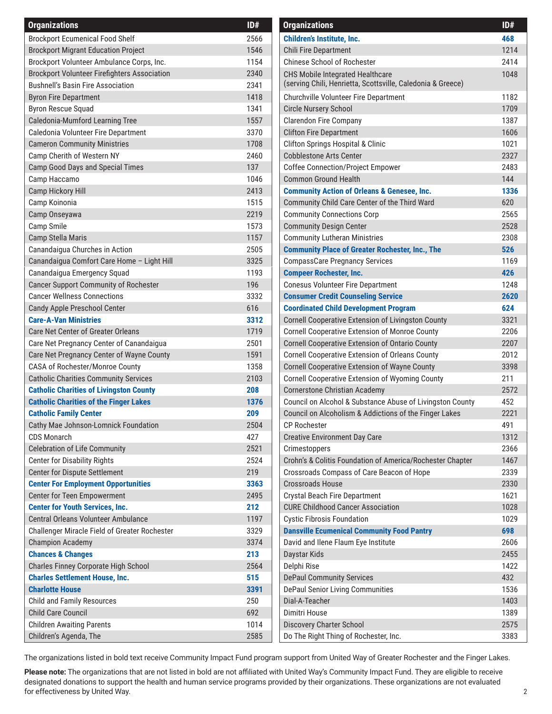| <b>Organizations</b>                                | ID#  | <b>Organizations</b>                                        | ID# |
|-----------------------------------------------------|------|-------------------------------------------------------------|-----|
| <b>Brockport Ecumenical Food Shelf</b>              | 2566 | <b>Children's Institute, Inc.</b>                           | 468 |
| <b>Brockport Migrant Education Project</b>          | 1546 | <b>Chili Fire Department</b>                                | 121 |
| Brockport Volunteer Ambulance Corps, Inc.           | 1154 | <b>Chinese School of Rochester</b>                          | 241 |
| <b>Brockport Volunteer Firefighters Association</b> | 2340 | CHS Mobile Integrated Healthcare                            | 104 |
| <b>Bushnell's Basin Fire Association</b>            | 2341 | (serving Chili, Henrietta, Scottsville, Caledonia & Greece) |     |
| <b>Byron Fire Department</b>                        | 1418 | Churchville Volunteer Fire Department                       | 118 |
| <b>Byron Rescue Squad</b>                           | 1341 | <b>Circle Nursery School</b>                                | 170 |
| Caledonia-Mumford Learning Tree                     | 1557 | <b>Clarendon Fire Company</b>                               | 138 |
| Caledonia Volunteer Fire Department                 | 3370 | <b>Clifton Fire Department</b>                              | 160 |
| <b>Cameron Community Ministries</b>                 | 1708 | <b>Clifton Springs Hospital &amp; Clinic</b>                | 102 |
| Camp Cherith of Western NY                          | 2460 | <b>Cobblestone Arts Center</b>                              | 232 |
| <b>Camp Good Days and Special Times</b>             | 137  | <b>Coffee Connection/Project Empower</b>                    | 248 |
| Camp Haccamo                                        | 1046 | <b>Common Ground Health</b>                                 | 144 |
| Camp Hickory Hill                                   | 2413 | <b>Community Action of Orleans &amp; Genesee, Inc.</b>      | 133 |
| Camp Koinonia                                       | 1515 | Community Child Care Center of the Third Ward               | 620 |
| Camp Onseyawa                                       | 2219 | <b>Community Connections Corp</b>                           | 256 |
| Camp Smile                                          | 1573 | <b>Community Design Center</b>                              | 252 |
| Camp Stella Maris                                   | 1157 | <b>Community Lutheran Ministries</b>                        | 230 |
| Canandaigua Churches in Action                      | 2505 | <b>Community Place of Greater Rochester, Inc., The</b>      | 526 |
| Canandaigua Comfort Care Home - Light Hill          | 3325 | <b>CompassCare Pregnancy Services</b>                       | 116 |
| Canandaigua Emergency Squad                         | 1193 | <b>Compeer Rochester, Inc.</b>                              | 426 |
| <b>Cancer Support Community of Rochester</b>        | 196  | <b>Conesus Volunteer Fire Department</b>                    | 124 |
| <b>Cancer Wellness Connections</b>                  | 3332 | <b>Consumer Credit Counseling Service</b>                   | 262 |
| Candy Apple Preschool Center                        | 616  | <b>Coordinated Child Development Program</b>                | 624 |
| <b>Care-A-Van Ministries</b>                        | 3312 | Cornell Cooperative Extension of Livingston County          | 332 |
| Care Net Center of Greater Orleans                  | 1719 | <b>Cornell Cooperative Extension of Monroe County</b>       | 220 |
| Care Net Pregnancy Center of Canandaigua            | 2501 | <b>Cornell Cooperative Extension of Ontario County</b>      | 220 |
| Care Net Pregnancy Center of Wayne County           | 1591 | <b>Cornell Cooperative Extension of Orleans County</b>      | 201 |
| CASA of Rochester/Monroe County                     | 1358 | <b>Cornell Cooperative Extension of Wayne County</b>        | 339 |
| <b>Catholic Charities Community Services</b>        | 2103 | Cornell Cooperative Extension of Wyoming County             | 211 |
| <b>Catholic Charities of Livingston County</b>      | 208  | <b>Cornerstone Christian Academy</b>                        | 257 |
| <b>Catholic Charities of the Finger Lakes</b>       | 1376 | Council on Alcohol & Substance Abuse of Livingston County   | 452 |
| <b>Catholic Family Center</b>                       | 209  | Council on Alcoholism & Addictions of the Finger Lakes      | 222 |
| Cathy Mae Johnson-Lomnick Foundation                | 2504 | <b>CP Rochester</b>                                         | 491 |
| <b>CDS Monarch</b>                                  | 427  | <b>Creative Environment Day Care</b>                        | 131 |
| <b>Celebration of Life Community</b>                | 2521 | Crimestoppers                                               | 236 |
| <b>Center for Disability Rights</b>                 | 2524 | Crohn's & Colitis Foundation of America/Rochester Chapter   | 146 |
| Center for Dispute Settlement                       | 219  | Crossroads Compass of Care Beacon of Hope                   | 233 |
| <b>Center For Employment Opportunities</b>          | 3363 | <b>Crossroads House</b>                                     | 233 |
| Center for Teen Empowerment                         | 2495 | <b>Crystal Beach Fire Department</b>                        | 162 |
| <b>Center for Youth Services, Inc.</b>              | 212  | <b>CURE Childhood Cancer Association</b>                    | 102 |
| Central Orleans Volunteer Ambulance                 | 1197 | <b>Cystic Fibrosis Foundation</b>                           | 102 |
| Challenger Miracle Field of Greater Rochester       | 3329 | <b>Dansville Ecumenical Community Food Pantry</b>           | 698 |
| <b>Champion Academy</b>                             | 3374 | David and Ilene Flaum Eye Institute                         | 260 |
| <b>Chances &amp; Changes</b>                        | 213  | Daystar Kids                                                | 245 |
| Charles Finney Corporate High School                | 2564 | Delphi Rise                                                 | 142 |
| <b>Charles Settlement House, Inc.</b>               | 515  | <b>DePaul Community Services</b>                            | 432 |
| <b>Charlotte House</b>                              | 3391 | DePaul Senior Living Communities                            | 153 |
| <b>Child and Family Resources</b>                   | 250  | Dial-A-Teacher                                              | 140 |
| Child Care Council                                  | 692  | Dimitri House                                               | 138 |
| <b>Children Awaiting Parents</b>                    | 1014 | Discovery Charter School                                    | 257 |
| Children's Agenda, The                              | 2585 | Do The Right Thing of Rochester, Inc.                       | 338 |
|                                                     |      |                                                             |     |

| <b>Organizations</b>                                                                                                | ID#         |
|---------------------------------------------------------------------------------------------------------------------|-------------|
| Children's Institute, Inc.                                                                                          | 468         |
| <b>Chili Fire Department</b>                                                                                        | 1214        |
| <b>Chinese School of Rochester</b>                                                                                  | 2414        |
| CHS Mobile Integrated Healthcare<br>(serving Chili, Henrietta, Scottsville, Caledonia & Greece)                     | 1048        |
| Churchville Volunteer Fire Department                                                                               | 1182        |
| <b>Circle Nursery School</b>                                                                                        | 1709        |
| <b>Clarendon Fire Company</b>                                                                                       | 1387        |
| <b>Clifton Fire Department</b>                                                                                      | 1606        |
| <b>Clifton Springs Hospital &amp; Clinic</b>                                                                        | 1021        |
| <b>Cobblestone Arts Center</b>                                                                                      | 2327        |
| <b>Coffee Connection/Project Empower</b>                                                                            | 2483        |
| <b>Common Ground Health</b>                                                                                         | 144         |
| <b>Community Action of Orleans &amp; Genesee, Inc.</b>                                                              | 1336        |
| Community Child Care Center of the Third Ward                                                                       | 620         |
| <b>Community Connections Corp</b>                                                                                   | 2565        |
| <b>Community Design Center</b>                                                                                      | 2528        |
| <b>Community Lutheran Ministries</b>                                                                                | 2308        |
| <b>Community Place of Greater Rochester, Inc., The</b>                                                              | 526         |
| <b>CompassCare Pregnancy Services</b>                                                                               | 1169        |
| <b>Compeer Rochester, Inc.</b>                                                                                      | 426         |
| <b>Conesus Volunteer Fire Department</b>                                                                            | 1248        |
| <b>Consumer Credit Counseling Service</b>                                                                           | 2620        |
| <b>Coordinated Child Development Program</b>                                                                        | 624         |
| <b>Cornell Cooperative Extension of Livingston County</b>                                                           | 3321        |
| <b>Cornell Cooperative Extension of Monroe County</b>                                                               | 2206        |
| Cornell Cooperative Extension of Ontario County                                                                     | 2207        |
| <b>Cornell Cooperative Extension of Orleans County</b>                                                              | 2012        |
| <b>Cornell Cooperative Extension of Wayne County</b>                                                                | 3398        |
| <b>Cornell Cooperative Extension of Wyoming County</b>                                                              | 211         |
| <b>Cornerstone Christian Academy</b>                                                                                | 2572        |
| Council on Alcohol & Substance Abuse of Livingston County<br>Council on Alcoholism & Addictions of the Finger Lakes | 452<br>2221 |
| CP Rochester                                                                                                        | 491         |
| <b>Creative Environment Day Care</b>                                                                                | 1312        |
| Crimestoppers                                                                                                       | 2366        |
| Crohn's & Colitis Foundation of America/Rochester Chapter                                                           | 1467        |
| Crossroads Compass of Care Beacon of Hope                                                                           | 2339        |
| <b>Crossroads House</b>                                                                                             | 2330        |
| <b>Crystal Beach Fire Department</b>                                                                                | 1621        |
| <b>CURE Childhood Cancer Association</b>                                                                            | 1028        |
| <b>Cystic Fibrosis Foundation</b>                                                                                   | 1029        |
| <b>Dansville Ecumenical Community Food Pantry</b>                                                                   | 698         |
| David and Ilene Flaum Eye Institute                                                                                 | 2606        |
| Daystar Kids                                                                                                        | 2455        |
| Delphi Rise                                                                                                         | 1422        |
| <b>DePaul Community Services</b>                                                                                    | 432         |
| DePaul Senior Living Communities                                                                                    | 1536        |
| Dial-A-Teacher                                                                                                      | 1403        |
| Dimitri House                                                                                                       | 1389        |
| <b>Discovery Charter School</b>                                                                                     | 2575        |
| Do The Right Thing of Rochester, Inc.                                                                               | 3383        |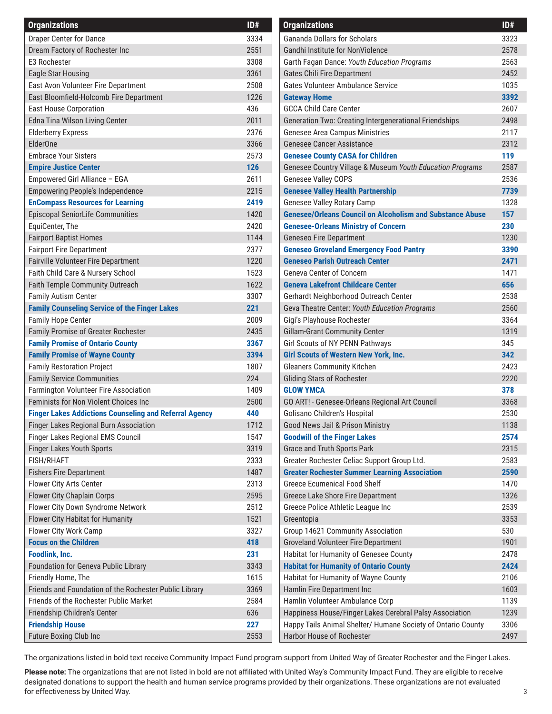| <b>Gananda Dollars for Scholars</b><br>Draper Center for Dance<br>332<br>3334<br>2551<br>257<br>Dream Factory of Rochester Inc<br>Gandhi Institute for NonViolence<br>256<br>E3 Rochester<br>3308<br>Garth Fagan Dance: Youth Education Programs<br>245<br>3361<br><b>Gates Chili Fire Department</b><br><b>Eagle Star Housing</b><br>East Avon Volunteer Fire Department<br>2508<br>Gates Volunteer Ambulance Service<br>103<br>East Bloomfield-Holcomb Fire Department<br>1226<br>339<br><b>Gateway Home</b><br><b>East House Corporation</b><br><b>GCCA Child Care Center</b><br>260<br>436<br>Edna Tina Wilson Living Center<br>249<br>2011<br>Generation Two: Creating Intergenerational Friendships<br>2376<br>211<br><b>Elderberry Express</b><br><b>Genesee Area Campus Ministries</b><br>ElderOne<br><b>Genesee Cancer Assistance</b><br>231<br>3366<br><b>Embrace Your Sisters</b><br><b>Genesee County CASA for Children</b><br>119<br>2573<br>258<br>126<br>Genesee Country Village & Museum Youth Education Programs<br><b>Empire Justice Center</b><br><b>Genesee Valley COPS</b><br>253<br>Empowered Girl Alliance - EGA<br>2611<br><b>Genesee Valley Health Partnership</b><br>773<br><b>Empowering People's Independence</b><br>2215<br>132<br><b>EnCompass Resources for Learning</b><br>2419<br><b>Genesee Valley Rotary Camp</b><br>157<br><b>Genesee/Orleans Council on Alcoholism and Substance Abuse</b><br><b>Episcopal SeniorLife Communities</b><br>1420<br>2420<br><b>Genesee-Orleans Ministry of Concern</b><br>230<br>EquiCenter, The<br>123<br><b>Fairport Baptist Homes</b><br>1144<br><b>Geneseo Fire Department</b><br>2377<br><b>Geneseo Groveland Emergency Food Pantry</b><br>339<br><b>Fairport Fire Department</b><br><b>Fairville Volunteer Fire Department</b><br><b>Geneseo Parish Outreach Center</b><br>247<br>1220<br>1523<br>147<br>Faith Child Care & Nursery School<br><b>Geneva Center of Concern</b><br>656<br>Faith Temple Community Outreach<br>1622<br><b>Geneva Lakefront Childcare Center</b><br>Gerhardt Neighborhood Outreach Center<br>253<br><b>Family Autism Center</b><br>3307<br>256<br>221<br><b>Family Counseling Service of the Finger Lakes</b><br>Geva Theatre Center: Youth Education Programs<br>Gigi's Playhouse Rochester<br>336<br><b>Family Hope Center</b><br>2009<br>131<br>Family Promise of Greater Rochester<br>2435<br><b>Gillam-Grant Community Center</b><br>345<br><b>Family Promise of Ontario County</b><br>3367<br>Girl Scouts of NY PENN Pathways<br><b>Girl Scouts of Western New York, Inc.</b><br>342<br><b>Family Promise of Wayne County</b><br>3394<br><b>Gleaners Community Kitchen</b><br>242<br><b>Family Restoration Project</b><br>1807<br>224<br><b>Gliding Stars of Rochester</b><br>222<br><b>Family Service Communities</b><br>378<br>Farmington Volunteer Fire Association<br>1409<br><b>GLOW YMCA</b><br>336<br>Feminists for Non Violent Choices Inc.<br>2500<br>GO ART! - Genesee-Orleans Regional Art Council<br>253<br><b>Finger Lakes Addictions Counseling and Referral Agency</b><br>440<br>Golisano Children's Hospital<br>Finger Lakes Regional Burn Association<br>1712<br>Good News Jail & Prison Ministry<br>113<br>1547<br>257<br>Finger Lakes Regional EMS Council<br><b>Goodwill of the Finger Lakes</b><br>Finger Lakes Youth Sports<br>3319<br><b>Grace and Truth Sports Park</b><br>231<br>Greater Rochester Celiac Support Group Ltd.<br><b>FISH/RHAFT</b><br>2333<br>258<br><b>Greater Rochester Summer Learning Association</b><br><b>Fishers Fire Department</b><br>1487<br>259<br><b>Greece Ecumenical Food Shelf</b><br><b>Flower City Arts Center</b><br>2313<br>147<br>132<br>Flower City Chaplain Corps<br>2595<br>Greece Lake Shore Fire Department<br>Flower City Down Syndrome Network<br>253<br>2512<br>Greece Police Athletic League Inc<br>335<br>Flower City Habitat for Humanity<br>1521<br>Greentopia<br>Flower City Work Camp<br>3327<br>Group 14621 Community Association<br>530<br><b>Focus on the Children</b><br>418<br><b>Groveland Volunteer Fire Department</b><br>190<br>Foodlink, Inc.<br>231<br>Habitat for Humanity of Genesee County<br>247<br>Foundation for Geneva Public Library<br><b>Habitat for Humanity of Ontario County</b><br>3343<br>242<br>Friendly Home, The<br>1615<br>Habitat for Humanity of Wayne County<br>210<br>Friends and Foundation of the Rochester Public Library<br>3369<br>Hamlin Fire Department Inc<br>160<br>Friends of the Rochester Public Market<br>Hamlin Volunteer Ambulance Corp<br>2584<br>113<br>Happiness House/Finger Lakes Cerebral Palsy Association<br>Friendship Children's Center<br>636<br>123<br>Happy Tails Animal Shelter/ Humane Society of Ontario County<br><b>Friendship House</b><br>227<br>330 | <b>Organizations</b>   | ID#  | <b>Organizations</b>      | ID# |
|--------------------------------------------------------------------------------------------------------------------------------------------------------------------------------------------------------------------------------------------------------------------------------------------------------------------------------------------------------------------------------------------------------------------------------------------------------------------------------------------------------------------------------------------------------------------------------------------------------------------------------------------------------------------------------------------------------------------------------------------------------------------------------------------------------------------------------------------------------------------------------------------------------------------------------------------------------------------------------------------------------------------------------------------------------------------------------------------------------------------------------------------------------------------------------------------------------------------------------------------------------------------------------------------------------------------------------------------------------------------------------------------------------------------------------------------------------------------------------------------------------------------------------------------------------------------------------------------------------------------------------------------------------------------------------------------------------------------------------------------------------------------------------------------------------------------------------------------------------------------------------------------------------------------------------------------------------------------------------------------------------------------------------------------------------------------------------------------------------------------------------------------------------------------------------------------------------------------------------------------------------------------------------------------------------------------------------------------------------------------------------------------------------------------------------------------------------------------------------------------------------------------------------------------------------------------------------------------------------------------------------------------------------------------------------------------------------------------------------------------------------------------------------------------------------------------------------------------------------------------------------------------------------------------------------------------------------------------------------------------------------------------------------------------------------------------------------------------------------------------------------------------------------------------------------------------------------------------------------------------------------------------------------------------------------------------------------------------------------------------------------------------------------------------------------------------------------------------------------------------------------------------------------------------------------------------------------------------------------------------------------------------------------------------------------------------------------------------------------------------------------------------------------------------------------------------------------------------------------------------------------------------------------------------------------------------------------------------------------------------------------------------------------------------------------------------------------------------------------------------------------------------------------------------------------------------------------------------------------------------------------------------------------------------------------------------------------------------------------------------------------------------------------------------------------------------------------------------------------------------------------------------------------------------------------------------------------------------------------------------------------------------------------------------------------------------------------------------------------------------------------------------------------------------------------------|------------------------|------|---------------------------|-----|
|                                                                                                                                                                                                                                                                                                                                                                                                                                                                                                                                                                                                                                                                                                                                                                                                                                                                                                                                                                                                                                                                                                                                                                                                                                                                                                                                                                                                                                                                                                                                                                                                                                                                                                                                                                                                                                                                                                                                                                                                                                                                                                                                                                                                                                                                                                                                                                                                                                                                                                                                                                                                                                                                                                                                                                                                                                                                                                                                                                                                                                                                                                                                                                                                                                                                                                                                                                                                                                                                                                                                                                                                                                                                                                                                                                                                                                                                                                                                                                                                                                                                                                                                                                                                                                                                                                                                                                                                                                                                                                                                                                                                                                                                                                                                                                                                              |                        |      |                           |     |
|                                                                                                                                                                                                                                                                                                                                                                                                                                                                                                                                                                                                                                                                                                                                                                                                                                                                                                                                                                                                                                                                                                                                                                                                                                                                                                                                                                                                                                                                                                                                                                                                                                                                                                                                                                                                                                                                                                                                                                                                                                                                                                                                                                                                                                                                                                                                                                                                                                                                                                                                                                                                                                                                                                                                                                                                                                                                                                                                                                                                                                                                                                                                                                                                                                                                                                                                                                                                                                                                                                                                                                                                                                                                                                                                                                                                                                                                                                                                                                                                                                                                                                                                                                                                                                                                                                                                                                                                                                                                                                                                                                                                                                                                                                                                                                                                              |                        |      |                           |     |
|                                                                                                                                                                                                                                                                                                                                                                                                                                                                                                                                                                                                                                                                                                                                                                                                                                                                                                                                                                                                                                                                                                                                                                                                                                                                                                                                                                                                                                                                                                                                                                                                                                                                                                                                                                                                                                                                                                                                                                                                                                                                                                                                                                                                                                                                                                                                                                                                                                                                                                                                                                                                                                                                                                                                                                                                                                                                                                                                                                                                                                                                                                                                                                                                                                                                                                                                                                                                                                                                                                                                                                                                                                                                                                                                                                                                                                                                                                                                                                                                                                                                                                                                                                                                                                                                                                                                                                                                                                                                                                                                                                                                                                                                                                                                                                                                              |                        |      |                           |     |
|                                                                                                                                                                                                                                                                                                                                                                                                                                                                                                                                                                                                                                                                                                                                                                                                                                                                                                                                                                                                                                                                                                                                                                                                                                                                                                                                                                                                                                                                                                                                                                                                                                                                                                                                                                                                                                                                                                                                                                                                                                                                                                                                                                                                                                                                                                                                                                                                                                                                                                                                                                                                                                                                                                                                                                                                                                                                                                                                                                                                                                                                                                                                                                                                                                                                                                                                                                                                                                                                                                                                                                                                                                                                                                                                                                                                                                                                                                                                                                                                                                                                                                                                                                                                                                                                                                                                                                                                                                                                                                                                                                                                                                                                                                                                                                                                              |                        |      |                           |     |
|                                                                                                                                                                                                                                                                                                                                                                                                                                                                                                                                                                                                                                                                                                                                                                                                                                                                                                                                                                                                                                                                                                                                                                                                                                                                                                                                                                                                                                                                                                                                                                                                                                                                                                                                                                                                                                                                                                                                                                                                                                                                                                                                                                                                                                                                                                                                                                                                                                                                                                                                                                                                                                                                                                                                                                                                                                                                                                                                                                                                                                                                                                                                                                                                                                                                                                                                                                                                                                                                                                                                                                                                                                                                                                                                                                                                                                                                                                                                                                                                                                                                                                                                                                                                                                                                                                                                                                                                                                                                                                                                                                                                                                                                                                                                                                                                              |                        |      |                           |     |
|                                                                                                                                                                                                                                                                                                                                                                                                                                                                                                                                                                                                                                                                                                                                                                                                                                                                                                                                                                                                                                                                                                                                                                                                                                                                                                                                                                                                                                                                                                                                                                                                                                                                                                                                                                                                                                                                                                                                                                                                                                                                                                                                                                                                                                                                                                                                                                                                                                                                                                                                                                                                                                                                                                                                                                                                                                                                                                                                                                                                                                                                                                                                                                                                                                                                                                                                                                                                                                                                                                                                                                                                                                                                                                                                                                                                                                                                                                                                                                                                                                                                                                                                                                                                                                                                                                                                                                                                                                                                                                                                                                                                                                                                                                                                                                                                              |                        |      |                           |     |
|                                                                                                                                                                                                                                                                                                                                                                                                                                                                                                                                                                                                                                                                                                                                                                                                                                                                                                                                                                                                                                                                                                                                                                                                                                                                                                                                                                                                                                                                                                                                                                                                                                                                                                                                                                                                                                                                                                                                                                                                                                                                                                                                                                                                                                                                                                                                                                                                                                                                                                                                                                                                                                                                                                                                                                                                                                                                                                                                                                                                                                                                                                                                                                                                                                                                                                                                                                                                                                                                                                                                                                                                                                                                                                                                                                                                                                                                                                                                                                                                                                                                                                                                                                                                                                                                                                                                                                                                                                                                                                                                                                                                                                                                                                                                                                                                              |                        |      |                           |     |
|                                                                                                                                                                                                                                                                                                                                                                                                                                                                                                                                                                                                                                                                                                                                                                                                                                                                                                                                                                                                                                                                                                                                                                                                                                                                                                                                                                                                                                                                                                                                                                                                                                                                                                                                                                                                                                                                                                                                                                                                                                                                                                                                                                                                                                                                                                                                                                                                                                                                                                                                                                                                                                                                                                                                                                                                                                                                                                                                                                                                                                                                                                                                                                                                                                                                                                                                                                                                                                                                                                                                                                                                                                                                                                                                                                                                                                                                                                                                                                                                                                                                                                                                                                                                                                                                                                                                                                                                                                                                                                                                                                                                                                                                                                                                                                                                              |                        |      |                           |     |
|                                                                                                                                                                                                                                                                                                                                                                                                                                                                                                                                                                                                                                                                                                                                                                                                                                                                                                                                                                                                                                                                                                                                                                                                                                                                                                                                                                                                                                                                                                                                                                                                                                                                                                                                                                                                                                                                                                                                                                                                                                                                                                                                                                                                                                                                                                                                                                                                                                                                                                                                                                                                                                                                                                                                                                                                                                                                                                                                                                                                                                                                                                                                                                                                                                                                                                                                                                                                                                                                                                                                                                                                                                                                                                                                                                                                                                                                                                                                                                                                                                                                                                                                                                                                                                                                                                                                                                                                                                                                                                                                                                                                                                                                                                                                                                                                              |                        |      |                           |     |
|                                                                                                                                                                                                                                                                                                                                                                                                                                                                                                                                                                                                                                                                                                                                                                                                                                                                                                                                                                                                                                                                                                                                                                                                                                                                                                                                                                                                                                                                                                                                                                                                                                                                                                                                                                                                                                                                                                                                                                                                                                                                                                                                                                                                                                                                                                                                                                                                                                                                                                                                                                                                                                                                                                                                                                                                                                                                                                                                                                                                                                                                                                                                                                                                                                                                                                                                                                                                                                                                                                                                                                                                                                                                                                                                                                                                                                                                                                                                                                                                                                                                                                                                                                                                                                                                                                                                                                                                                                                                                                                                                                                                                                                                                                                                                                                                              |                        |      |                           |     |
|                                                                                                                                                                                                                                                                                                                                                                                                                                                                                                                                                                                                                                                                                                                                                                                                                                                                                                                                                                                                                                                                                                                                                                                                                                                                                                                                                                                                                                                                                                                                                                                                                                                                                                                                                                                                                                                                                                                                                                                                                                                                                                                                                                                                                                                                                                                                                                                                                                                                                                                                                                                                                                                                                                                                                                                                                                                                                                                                                                                                                                                                                                                                                                                                                                                                                                                                                                                                                                                                                                                                                                                                                                                                                                                                                                                                                                                                                                                                                                                                                                                                                                                                                                                                                                                                                                                                                                                                                                                                                                                                                                                                                                                                                                                                                                                                              |                        |      |                           |     |
|                                                                                                                                                                                                                                                                                                                                                                                                                                                                                                                                                                                                                                                                                                                                                                                                                                                                                                                                                                                                                                                                                                                                                                                                                                                                                                                                                                                                                                                                                                                                                                                                                                                                                                                                                                                                                                                                                                                                                                                                                                                                                                                                                                                                                                                                                                                                                                                                                                                                                                                                                                                                                                                                                                                                                                                                                                                                                                                                                                                                                                                                                                                                                                                                                                                                                                                                                                                                                                                                                                                                                                                                                                                                                                                                                                                                                                                                                                                                                                                                                                                                                                                                                                                                                                                                                                                                                                                                                                                                                                                                                                                                                                                                                                                                                                                                              |                        |      |                           |     |
|                                                                                                                                                                                                                                                                                                                                                                                                                                                                                                                                                                                                                                                                                                                                                                                                                                                                                                                                                                                                                                                                                                                                                                                                                                                                                                                                                                                                                                                                                                                                                                                                                                                                                                                                                                                                                                                                                                                                                                                                                                                                                                                                                                                                                                                                                                                                                                                                                                                                                                                                                                                                                                                                                                                                                                                                                                                                                                                                                                                                                                                                                                                                                                                                                                                                                                                                                                                                                                                                                                                                                                                                                                                                                                                                                                                                                                                                                                                                                                                                                                                                                                                                                                                                                                                                                                                                                                                                                                                                                                                                                                                                                                                                                                                                                                                                              |                        |      |                           |     |
|                                                                                                                                                                                                                                                                                                                                                                                                                                                                                                                                                                                                                                                                                                                                                                                                                                                                                                                                                                                                                                                                                                                                                                                                                                                                                                                                                                                                                                                                                                                                                                                                                                                                                                                                                                                                                                                                                                                                                                                                                                                                                                                                                                                                                                                                                                                                                                                                                                                                                                                                                                                                                                                                                                                                                                                                                                                                                                                                                                                                                                                                                                                                                                                                                                                                                                                                                                                                                                                                                                                                                                                                                                                                                                                                                                                                                                                                                                                                                                                                                                                                                                                                                                                                                                                                                                                                                                                                                                                                                                                                                                                                                                                                                                                                                                                                              |                        |      |                           |     |
|                                                                                                                                                                                                                                                                                                                                                                                                                                                                                                                                                                                                                                                                                                                                                                                                                                                                                                                                                                                                                                                                                                                                                                                                                                                                                                                                                                                                                                                                                                                                                                                                                                                                                                                                                                                                                                                                                                                                                                                                                                                                                                                                                                                                                                                                                                                                                                                                                                                                                                                                                                                                                                                                                                                                                                                                                                                                                                                                                                                                                                                                                                                                                                                                                                                                                                                                                                                                                                                                                                                                                                                                                                                                                                                                                                                                                                                                                                                                                                                                                                                                                                                                                                                                                                                                                                                                                                                                                                                                                                                                                                                                                                                                                                                                                                                                              |                        |      |                           |     |
|                                                                                                                                                                                                                                                                                                                                                                                                                                                                                                                                                                                                                                                                                                                                                                                                                                                                                                                                                                                                                                                                                                                                                                                                                                                                                                                                                                                                                                                                                                                                                                                                                                                                                                                                                                                                                                                                                                                                                                                                                                                                                                                                                                                                                                                                                                                                                                                                                                                                                                                                                                                                                                                                                                                                                                                                                                                                                                                                                                                                                                                                                                                                                                                                                                                                                                                                                                                                                                                                                                                                                                                                                                                                                                                                                                                                                                                                                                                                                                                                                                                                                                                                                                                                                                                                                                                                                                                                                                                                                                                                                                                                                                                                                                                                                                                                              |                        |      |                           |     |
|                                                                                                                                                                                                                                                                                                                                                                                                                                                                                                                                                                                                                                                                                                                                                                                                                                                                                                                                                                                                                                                                                                                                                                                                                                                                                                                                                                                                                                                                                                                                                                                                                                                                                                                                                                                                                                                                                                                                                                                                                                                                                                                                                                                                                                                                                                                                                                                                                                                                                                                                                                                                                                                                                                                                                                                                                                                                                                                                                                                                                                                                                                                                                                                                                                                                                                                                                                                                                                                                                                                                                                                                                                                                                                                                                                                                                                                                                                                                                                                                                                                                                                                                                                                                                                                                                                                                                                                                                                                                                                                                                                                                                                                                                                                                                                                                              |                        |      |                           |     |
|                                                                                                                                                                                                                                                                                                                                                                                                                                                                                                                                                                                                                                                                                                                                                                                                                                                                                                                                                                                                                                                                                                                                                                                                                                                                                                                                                                                                                                                                                                                                                                                                                                                                                                                                                                                                                                                                                                                                                                                                                                                                                                                                                                                                                                                                                                                                                                                                                                                                                                                                                                                                                                                                                                                                                                                                                                                                                                                                                                                                                                                                                                                                                                                                                                                                                                                                                                                                                                                                                                                                                                                                                                                                                                                                                                                                                                                                                                                                                                                                                                                                                                                                                                                                                                                                                                                                                                                                                                                                                                                                                                                                                                                                                                                                                                                                              |                        |      |                           |     |
|                                                                                                                                                                                                                                                                                                                                                                                                                                                                                                                                                                                                                                                                                                                                                                                                                                                                                                                                                                                                                                                                                                                                                                                                                                                                                                                                                                                                                                                                                                                                                                                                                                                                                                                                                                                                                                                                                                                                                                                                                                                                                                                                                                                                                                                                                                                                                                                                                                                                                                                                                                                                                                                                                                                                                                                                                                                                                                                                                                                                                                                                                                                                                                                                                                                                                                                                                                                                                                                                                                                                                                                                                                                                                                                                                                                                                                                                                                                                                                                                                                                                                                                                                                                                                                                                                                                                                                                                                                                                                                                                                                                                                                                                                                                                                                                                              |                        |      |                           |     |
|                                                                                                                                                                                                                                                                                                                                                                                                                                                                                                                                                                                                                                                                                                                                                                                                                                                                                                                                                                                                                                                                                                                                                                                                                                                                                                                                                                                                                                                                                                                                                                                                                                                                                                                                                                                                                                                                                                                                                                                                                                                                                                                                                                                                                                                                                                                                                                                                                                                                                                                                                                                                                                                                                                                                                                                                                                                                                                                                                                                                                                                                                                                                                                                                                                                                                                                                                                                                                                                                                                                                                                                                                                                                                                                                                                                                                                                                                                                                                                                                                                                                                                                                                                                                                                                                                                                                                                                                                                                                                                                                                                                                                                                                                                                                                                                                              |                        |      |                           |     |
|                                                                                                                                                                                                                                                                                                                                                                                                                                                                                                                                                                                                                                                                                                                                                                                                                                                                                                                                                                                                                                                                                                                                                                                                                                                                                                                                                                                                                                                                                                                                                                                                                                                                                                                                                                                                                                                                                                                                                                                                                                                                                                                                                                                                                                                                                                                                                                                                                                                                                                                                                                                                                                                                                                                                                                                                                                                                                                                                                                                                                                                                                                                                                                                                                                                                                                                                                                                                                                                                                                                                                                                                                                                                                                                                                                                                                                                                                                                                                                                                                                                                                                                                                                                                                                                                                                                                                                                                                                                                                                                                                                                                                                                                                                                                                                                                              |                        |      |                           |     |
|                                                                                                                                                                                                                                                                                                                                                                                                                                                                                                                                                                                                                                                                                                                                                                                                                                                                                                                                                                                                                                                                                                                                                                                                                                                                                                                                                                                                                                                                                                                                                                                                                                                                                                                                                                                                                                                                                                                                                                                                                                                                                                                                                                                                                                                                                                                                                                                                                                                                                                                                                                                                                                                                                                                                                                                                                                                                                                                                                                                                                                                                                                                                                                                                                                                                                                                                                                                                                                                                                                                                                                                                                                                                                                                                                                                                                                                                                                                                                                                                                                                                                                                                                                                                                                                                                                                                                                                                                                                                                                                                                                                                                                                                                                                                                                                                              |                        |      |                           |     |
|                                                                                                                                                                                                                                                                                                                                                                                                                                                                                                                                                                                                                                                                                                                                                                                                                                                                                                                                                                                                                                                                                                                                                                                                                                                                                                                                                                                                                                                                                                                                                                                                                                                                                                                                                                                                                                                                                                                                                                                                                                                                                                                                                                                                                                                                                                                                                                                                                                                                                                                                                                                                                                                                                                                                                                                                                                                                                                                                                                                                                                                                                                                                                                                                                                                                                                                                                                                                                                                                                                                                                                                                                                                                                                                                                                                                                                                                                                                                                                                                                                                                                                                                                                                                                                                                                                                                                                                                                                                                                                                                                                                                                                                                                                                                                                                                              |                        |      |                           |     |
|                                                                                                                                                                                                                                                                                                                                                                                                                                                                                                                                                                                                                                                                                                                                                                                                                                                                                                                                                                                                                                                                                                                                                                                                                                                                                                                                                                                                                                                                                                                                                                                                                                                                                                                                                                                                                                                                                                                                                                                                                                                                                                                                                                                                                                                                                                                                                                                                                                                                                                                                                                                                                                                                                                                                                                                                                                                                                                                                                                                                                                                                                                                                                                                                                                                                                                                                                                                                                                                                                                                                                                                                                                                                                                                                                                                                                                                                                                                                                                                                                                                                                                                                                                                                                                                                                                                                                                                                                                                                                                                                                                                                                                                                                                                                                                                                              |                        |      |                           |     |
|                                                                                                                                                                                                                                                                                                                                                                                                                                                                                                                                                                                                                                                                                                                                                                                                                                                                                                                                                                                                                                                                                                                                                                                                                                                                                                                                                                                                                                                                                                                                                                                                                                                                                                                                                                                                                                                                                                                                                                                                                                                                                                                                                                                                                                                                                                                                                                                                                                                                                                                                                                                                                                                                                                                                                                                                                                                                                                                                                                                                                                                                                                                                                                                                                                                                                                                                                                                                                                                                                                                                                                                                                                                                                                                                                                                                                                                                                                                                                                                                                                                                                                                                                                                                                                                                                                                                                                                                                                                                                                                                                                                                                                                                                                                                                                                                              |                        |      |                           |     |
|                                                                                                                                                                                                                                                                                                                                                                                                                                                                                                                                                                                                                                                                                                                                                                                                                                                                                                                                                                                                                                                                                                                                                                                                                                                                                                                                                                                                                                                                                                                                                                                                                                                                                                                                                                                                                                                                                                                                                                                                                                                                                                                                                                                                                                                                                                                                                                                                                                                                                                                                                                                                                                                                                                                                                                                                                                                                                                                                                                                                                                                                                                                                                                                                                                                                                                                                                                                                                                                                                                                                                                                                                                                                                                                                                                                                                                                                                                                                                                                                                                                                                                                                                                                                                                                                                                                                                                                                                                                                                                                                                                                                                                                                                                                                                                                                              |                        |      |                           |     |
|                                                                                                                                                                                                                                                                                                                                                                                                                                                                                                                                                                                                                                                                                                                                                                                                                                                                                                                                                                                                                                                                                                                                                                                                                                                                                                                                                                                                                                                                                                                                                                                                                                                                                                                                                                                                                                                                                                                                                                                                                                                                                                                                                                                                                                                                                                                                                                                                                                                                                                                                                                                                                                                                                                                                                                                                                                                                                                                                                                                                                                                                                                                                                                                                                                                                                                                                                                                                                                                                                                                                                                                                                                                                                                                                                                                                                                                                                                                                                                                                                                                                                                                                                                                                                                                                                                                                                                                                                                                                                                                                                                                                                                                                                                                                                                                                              |                        |      |                           |     |
|                                                                                                                                                                                                                                                                                                                                                                                                                                                                                                                                                                                                                                                                                                                                                                                                                                                                                                                                                                                                                                                                                                                                                                                                                                                                                                                                                                                                                                                                                                                                                                                                                                                                                                                                                                                                                                                                                                                                                                                                                                                                                                                                                                                                                                                                                                                                                                                                                                                                                                                                                                                                                                                                                                                                                                                                                                                                                                                                                                                                                                                                                                                                                                                                                                                                                                                                                                                                                                                                                                                                                                                                                                                                                                                                                                                                                                                                                                                                                                                                                                                                                                                                                                                                                                                                                                                                                                                                                                                                                                                                                                                                                                                                                                                                                                                                              |                        |      |                           |     |
|                                                                                                                                                                                                                                                                                                                                                                                                                                                                                                                                                                                                                                                                                                                                                                                                                                                                                                                                                                                                                                                                                                                                                                                                                                                                                                                                                                                                                                                                                                                                                                                                                                                                                                                                                                                                                                                                                                                                                                                                                                                                                                                                                                                                                                                                                                                                                                                                                                                                                                                                                                                                                                                                                                                                                                                                                                                                                                                                                                                                                                                                                                                                                                                                                                                                                                                                                                                                                                                                                                                                                                                                                                                                                                                                                                                                                                                                                                                                                                                                                                                                                                                                                                                                                                                                                                                                                                                                                                                                                                                                                                                                                                                                                                                                                                                                              |                        |      |                           |     |
|                                                                                                                                                                                                                                                                                                                                                                                                                                                                                                                                                                                                                                                                                                                                                                                                                                                                                                                                                                                                                                                                                                                                                                                                                                                                                                                                                                                                                                                                                                                                                                                                                                                                                                                                                                                                                                                                                                                                                                                                                                                                                                                                                                                                                                                                                                                                                                                                                                                                                                                                                                                                                                                                                                                                                                                                                                                                                                                                                                                                                                                                                                                                                                                                                                                                                                                                                                                                                                                                                                                                                                                                                                                                                                                                                                                                                                                                                                                                                                                                                                                                                                                                                                                                                                                                                                                                                                                                                                                                                                                                                                                                                                                                                                                                                                                                              |                        |      |                           |     |
|                                                                                                                                                                                                                                                                                                                                                                                                                                                                                                                                                                                                                                                                                                                                                                                                                                                                                                                                                                                                                                                                                                                                                                                                                                                                                                                                                                                                                                                                                                                                                                                                                                                                                                                                                                                                                                                                                                                                                                                                                                                                                                                                                                                                                                                                                                                                                                                                                                                                                                                                                                                                                                                                                                                                                                                                                                                                                                                                                                                                                                                                                                                                                                                                                                                                                                                                                                                                                                                                                                                                                                                                                                                                                                                                                                                                                                                                                                                                                                                                                                                                                                                                                                                                                                                                                                                                                                                                                                                                                                                                                                                                                                                                                                                                                                                                              |                        |      |                           |     |
|                                                                                                                                                                                                                                                                                                                                                                                                                                                                                                                                                                                                                                                                                                                                                                                                                                                                                                                                                                                                                                                                                                                                                                                                                                                                                                                                                                                                                                                                                                                                                                                                                                                                                                                                                                                                                                                                                                                                                                                                                                                                                                                                                                                                                                                                                                                                                                                                                                                                                                                                                                                                                                                                                                                                                                                                                                                                                                                                                                                                                                                                                                                                                                                                                                                                                                                                                                                                                                                                                                                                                                                                                                                                                                                                                                                                                                                                                                                                                                                                                                                                                                                                                                                                                                                                                                                                                                                                                                                                                                                                                                                                                                                                                                                                                                                                              |                        |      |                           |     |
|                                                                                                                                                                                                                                                                                                                                                                                                                                                                                                                                                                                                                                                                                                                                                                                                                                                                                                                                                                                                                                                                                                                                                                                                                                                                                                                                                                                                                                                                                                                                                                                                                                                                                                                                                                                                                                                                                                                                                                                                                                                                                                                                                                                                                                                                                                                                                                                                                                                                                                                                                                                                                                                                                                                                                                                                                                                                                                                                                                                                                                                                                                                                                                                                                                                                                                                                                                                                                                                                                                                                                                                                                                                                                                                                                                                                                                                                                                                                                                                                                                                                                                                                                                                                                                                                                                                                                                                                                                                                                                                                                                                                                                                                                                                                                                                                              |                        |      |                           |     |
|                                                                                                                                                                                                                                                                                                                                                                                                                                                                                                                                                                                                                                                                                                                                                                                                                                                                                                                                                                                                                                                                                                                                                                                                                                                                                                                                                                                                                                                                                                                                                                                                                                                                                                                                                                                                                                                                                                                                                                                                                                                                                                                                                                                                                                                                                                                                                                                                                                                                                                                                                                                                                                                                                                                                                                                                                                                                                                                                                                                                                                                                                                                                                                                                                                                                                                                                                                                                                                                                                                                                                                                                                                                                                                                                                                                                                                                                                                                                                                                                                                                                                                                                                                                                                                                                                                                                                                                                                                                                                                                                                                                                                                                                                                                                                                                                              |                        |      |                           |     |
|                                                                                                                                                                                                                                                                                                                                                                                                                                                                                                                                                                                                                                                                                                                                                                                                                                                                                                                                                                                                                                                                                                                                                                                                                                                                                                                                                                                                                                                                                                                                                                                                                                                                                                                                                                                                                                                                                                                                                                                                                                                                                                                                                                                                                                                                                                                                                                                                                                                                                                                                                                                                                                                                                                                                                                                                                                                                                                                                                                                                                                                                                                                                                                                                                                                                                                                                                                                                                                                                                                                                                                                                                                                                                                                                                                                                                                                                                                                                                                                                                                                                                                                                                                                                                                                                                                                                                                                                                                                                                                                                                                                                                                                                                                                                                                                                              |                        |      |                           |     |
|                                                                                                                                                                                                                                                                                                                                                                                                                                                                                                                                                                                                                                                                                                                                                                                                                                                                                                                                                                                                                                                                                                                                                                                                                                                                                                                                                                                                                                                                                                                                                                                                                                                                                                                                                                                                                                                                                                                                                                                                                                                                                                                                                                                                                                                                                                                                                                                                                                                                                                                                                                                                                                                                                                                                                                                                                                                                                                                                                                                                                                                                                                                                                                                                                                                                                                                                                                                                                                                                                                                                                                                                                                                                                                                                                                                                                                                                                                                                                                                                                                                                                                                                                                                                                                                                                                                                                                                                                                                                                                                                                                                                                                                                                                                                                                                                              |                        |      |                           |     |
|                                                                                                                                                                                                                                                                                                                                                                                                                                                                                                                                                                                                                                                                                                                                                                                                                                                                                                                                                                                                                                                                                                                                                                                                                                                                                                                                                                                                                                                                                                                                                                                                                                                                                                                                                                                                                                                                                                                                                                                                                                                                                                                                                                                                                                                                                                                                                                                                                                                                                                                                                                                                                                                                                                                                                                                                                                                                                                                                                                                                                                                                                                                                                                                                                                                                                                                                                                                                                                                                                                                                                                                                                                                                                                                                                                                                                                                                                                                                                                                                                                                                                                                                                                                                                                                                                                                                                                                                                                                                                                                                                                                                                                                                                                                                                                                                              |                        |      |                           |     |
|                                                                                                                                                                                                                                                                                                                                                                                                                                                                                                                                                                                                                                                                                                                                                                                                                                                                                                                                                                                                                                                                                                                                                                                                                                                                                                                                                                                                                                                                                                                                                                                                                                                                                                                                                                                                                                                                                                                                                                                                                                                                                                                                                                                                                                                                                                                                                                                                                                                                                                                                                                                                                                                                                                                                                                                                                                                                                                                                                                                                                                                                                                                                                                                                                                                                                                                                                                                                                                                                                                                                                                                                                                                                                                                                                                                                                                                                                                                                                                                                                                                                                                                                                                                                                                                                                                                                                                                                                                                                                                                                                                                                                                                                                                                                                                                                              |                        |      |                           |     |
|                                                                                                                                                                                                                                                                                                                                                                                                                                                                                                                                                                                                                                                                                                                                                                                                                                                                                                                                                                                                                                                                                                                                                                                                                                                                                                                                                                                                                                                                                                                                                                                                                                                                                                                                                                                                                                                                                                                                                                                                                                                                                                                                                                                                                                                                                                                                                                                                                                                                                                                                                                                                                                                                                                                                                                                                                                                                                                                                                                                                                                                                                                                                                                                                                                                                                                                                                                                                                                                                                                                                                                                                                                                                                                                                                                                                                                                                                                                                                                                                                                                                                                                                                                                                                                                                                                                                                                                                                                                                                                                                                                                                                                                                                                                                                                                                              |                        |      |                           |     |
|                                                                                                                                                                                                                                                                                                                                                                                                                                                                                                                                                                                                                                                                                                                                                                                                                                                                                                                                                                                                                                                                                                                                                                                                                                                                                                                                                                                                                                                                                                                                                                                                                                                                                                                                                                                                                                                                                                                                                                                                                                                                                                                                                                                                                                                                                                                                                                                                                                                                                                                                                                                                                                                                                                                                                                                                                                                                                                                                                                                                                                                                                                                                                                                                                                                                                                                                                                                                                                                                                                                                                                                                                                                                                                                                                                                                                                                                                                                                                                                                                                                                                                                                                                                                                                                                                                                                                                                                                                                                                                                                                                                                                                                                                                                                                                                                              |                        |      |                           |     |
|                                                                                                                                                                                                                                                                                                                                                                                                                                                                                                                                                                                                                                                                                                                                                                                                                                                                                                                                                                                                                                                                                                                                                                                                                                                                                                                                                                                                                                                                                                                                                                                                                                                                                                                                                                                                                                                                                                                                                                                                                                                                                                                                                                                                                                                                                                                                                                                                                                                                                                                                                                                                                                                                                                                                                                                                                                                                                                                                                                                                                                                                                                                                                                                                                                                                                                                                                                                                                                                                                                                                                                                                                                                                                                                                                                                                                                                                                                                                                                                                                                                                                                                                                                                                                                                                                                                                                                                                                                                                                                                                                                                                                                                                                                                                                                                                              |                        |      |                           |     |
|                                                                                                                                                                                                                                                                                                                                                                                                                                                                                                                                                                                                                                                                                                                                                                                                                                                                                                                                                                                                                                                                                                                                                                                                                                                                                                                                                                                                                                                                                                                                                                                                                                                                                                                                                                                                                                                                                                                                                                                                                                                                                                                                                                                                                                                                                                                                                                                                                                                                                                                                                                                                                                                                                                                                                                                                                                                                                                                                                                                                                                                                                                                                                                                                                                                                                                                                                                                                                                                                                                                                                                                                                                                                                                                                                                                                                                                                                                                                                                                                                                                                                                                                                                                                                                                                                                                                                                                                                                                                                                                                                                                                                                                                                                                                                                                                              |                        |      |                           |     |
|                                                                                                                                                                                                                                                                                                                                                                                                                                                                                                                                                                                                                                                                                                                                                                                                                                                                                                                                                                                                                                                                                                                                                                                                                                                                                                                                                                                                                                                                                                                                                                                                                                                                                                                                                                                                                                                                                                                                                                                                                                                                                                                                                                                                                                                                                                                                                                                                                                                                                                                                                                                                                                                                                                                                                                                                                                                                                                                                                                                                                                                                                                                                                                                                                                                                                                                                                                                                                                                                                                                                                                                                                                                                                                                                                                                                                                                                                                                                                                                                                                                                                                                                                                                                                                                                                                                                                                                                                                                                                                                                                                                                                                                                                                                                                                                                              |                        |      |                           |     |
|                                                                                                                                                                                                                                                                                                                                                                                                                                                                                                                                                                                                                                                                                                                                                                                                                                                                                                                                                                                                                                                                                                                                                                                                                                                                                                                                                                                                                                                                                                                                                                                                                                                                                                                                                                                                                                                                                                                                                                                                                                                                                                                                                                                                                                                                                                                                                                                                                                                                                                                                                                                                                                                                                                                                                                                                                                                                                                                                                                                                                                                                                                                                                                                                                                                                                                                                                                                                                                                                                                                                                                                                                                                                                                                                                                                                                                                                                                                                                                                                                                                                                                                                                                                                                                                                                                                                                                                                                                                                                                                                                                                                                                                                                                                                                                                                              |                        |      |                           |     |
|                                                                                                                                                                                                                                                                                                                                                                                                                                                                                                                                                                                                                                                                                                                                                                                                                                                                                                                                                                                                                                                                                                                                                                                                                                                                                                                                                                                                                                                                                                                                                                                                                                                                                                                                                                                                                                                                                                                                                                                                                                                                                                                                                                                                                                                                                                                                                                                                                                                                                                                                                                                                                                                                                                                                                                                                                                                                                                                                                                                                                                                                                                                                                                                                                                                                                                                                                                                                                                                                                                                                                                                                                                                                                                                                                                                                                                                                                                                                                                                                                                                                                                                                                                                                                                                                                                                                                                                                                                                                                                                                                                                                                                                                                                                                                                                                              |                        |      |                           |     |
|                                                                                                                                                                                                                                                                                                                                                                                                                                                                                                                                                                                                                                                                                                                                                                                                                                                                                                                                                                                                                                                                                                                                                                                                                                                                                                                                                                                                                                                                                                                                                                                                                                                                                                                                                                                                                                                                                                                                                                                                                                                                                                                                                                                                                                                                                                                                                                                                                                                                                                                                                                                                                                                                                                                                                                                                                                                                                                                                                                                                                                                                                                                                                                                                                                                                                                                                                                                                                                                                                                                                                                                                                                                                                                                                                                                                                                                                                                                                                                                                                                                                                                                                                                                                                                                                                                                                                                                                                                                                                                                                                                                                                                                                                                                                                                                                              |                        |      |                           |     |
|                                                                                                                                                                                                                                                                                                                                                                                                                                                                                                                                                                                                                                                                                                                                                                                                                                                                                                                                                                                                                                                                                                                                                                                                                                                                                                                                                                                                                                                                                                                                                                                                                                                                                                                                                                                                                                                                                                                                                                                                                                                                                                                                                                                                                                                                                                                                                                                                                                                                                                                                                                                                                                                                                                                                                                                                                                                                                                                                                                                                                                                                                                                                                                                                                                                                                                                                                                                                                                                                                                                                                                                                                                                                                                                                                                                                                                                                                                                                                                                                                                                                                                                                                                                                                                                                                                                                                                                                                                                                                                                                                                                                                                                                                                                                                                                                              |                        |      |                           |     |
|                                                                                                                                                                                                                                                                                                                                                                                                                                                                                                                                                                                                                                                                                                                                                                                                                                                                                                                                                                                                                                                                                                                                                                                                                                                                                                                                                                                                                                                                                                                                                                                                                                                                                                                                                                                                                                                                                                                                                                                                                                                                                                                                                                                                                                                                                                                                                                                                                                                                                                                                                                                                                                                                                                                                                                                                                                                                                                                                                                                                                                                                                                                                                                                                                                                                                                                                                                                                                                                                                                                                                                                                                                                                                                                                                                                                                                                                                                                                                                                                                                                                                                                                                                                                                                                                                                                                                                                                                                                                                                                                                                                                                                                                                                                                                                                                              |                        |      |                           |     |
|                                                                                                                                                                                                                                                                                                                                                                                                                                                                                                                                                                                                                                                                                                                                                                                                                                                                                                                                                                                                                                                                                                                                                                                                                                                                                                                                                                                                                                                                                                                                                                                                                                                                                                                                                                                                                                                                                                                                                                                                                                                                                                                                                                                                                                                                                                                                                                                                                                                                                                                                                                                                                                                                                                                                                                                                                                                                                                                                                                                                                                                                                                                                                                                                                                                                                                                                                                                                                                                                                                                                                                                                                                                                                                                                                                                                                                                                                                                                                                                                                                                                                                                                                                                                                                                                                                                                                                                                                                                                                                                                                                                                                                                                                                                                                                                                              |                        |      |                           |     |
|                                                                                                                                                                                                                                                                                                                                                                                                                                                                                                                                                                                                                                                                                                                                                                                                                                                                                                                                                                                                                                                                                                                                                                                                                                                                                                                                                                                                                                                                                                                                                                                                                                                                                                                                                                                                                                                                                                                                                                                                                                                                                                                                                                                                                                                                                                                                                                                                                                                                                                                                                                                                                                                                                                                                                                                                                                                                                                                                                                                                                                                                                                                                                                                                                                                                                                                                                                                                                                                                                                                                                                                                                                                                                                                                                                                                                                                                                                                                                                                                                                                                                                                                                                                                                                                                                                                                                                                                                                                                                                                                                                                                                                                                                                                                                                                                              |                        |      |                           |     |
|                                                                                                                                                                                                                                                                                                                                                                                                                                                                                                                                                                                                                                                                                                                                                                                                                                                                                                                                                                                                                                                                                                                                                                                                                                                                                                                                                                                                                                                                                                                                                                                                                                                                                                                                                                                                                                                                                                                                                                                                                                                                                                                                                                                                                                                                                                                                                                                                                                                                                                                                                                                                                                                                                                                                                                                                                                                                                                                                                                                                                                                                                                                                                                                                                                                                                                                                                                                                                                                                                                                                                                                                                                                                                                                                                                                                                                                                                                                                                                                                                                                                                                                                                                                                                                                                                                                                                                                                                                                                                                                                                                                                                                                                                                                                                                                                              |                        |      |                           |     |
|                                                                                                                                                                                                                                                                                                                                                                                                                                                                                                                                                                                                                                                                                                                                                                                                                                                                                                                                                                                                                                                                                                                                                                                                                                                                                                                                                                                                                                                                                                                                                                                                                                                                                                                                                                                                                                                                                                                                                                                                                                                                                                                                                                                                                                                                                                                                                                                                                                                                                                                                                                                                                                                                                                                                                                                                                                                                                                                                                                                                                                                                                                                                                                                                                                                                                                                                                                                                                                                                                                                                                                                                                                                                                                                                                                                                                                                                                                                                                                                                                                                                                                                                                                                                                                                                                                                                                                                                                                                                                                                                                                                                                                                                                                                                                                                                              | Future Boxing Club Inc | 2553 | Harbor House of Rochester | 249 |

| <b>Organizations</b>                                             | ID#  |
|------------------------------------------------------------------|------|
| Gananda Dollars for Scholars                                     | 3323 |
| Gandhi Institute for NonViolence                                 | 2578 |
| Garth Fagan Dance: Youth Education Programs                      | 2563 |
| <b>Gates Chili Fire Department</b>                               | 2452 |
| <b>Gates Volunteer Ambulance Service</b>                         | 1035 |
| <b>Gateway Home</b>                                              | 3392 |
| <b>GCCA Child Care Center</b>                                    | 2607 |
| Generation Two: Creating Intergenerational Friendships           | 2498 |
| <b>Genesee Area Campus Ministries</b>                            | 2117 |
| Genesee Cancer Assistance                                        | 2312 |
| <b>Genesee County CASA for Children</b>                          | 119  |
| Genesee Country Village & Museum Youth Education Programs        | 2587 |
| <b>Genesee Valley COPS</b>                                       | 2536 |
| <b>Genesee Valley Health Partnership</b>                         | 7739 |
| <b>Genesee Valley Rotary Camp</b>                                | 1328 |
| <b>Genesee/Orleans Council on Alcoholism and Substance Abuse</b> | 157  |
| <b>Genesee-Orleans Ministry of Concern</b>                       | 230  |
| <b>Geneseo Fire Department</b>                                   | 1230 |
| <b>Geneseo Groveland Emergency Food Pantry</b>                   | 3390 |
| <b>Geneseo Parish Outreach Center</b>                            | 2471 |
| <b>Geneva Center of Concern</b>                                  | 1471 |
| <b>Geneva Lakefront Childcare Center</b>                         | 656  |
| Gerhardt Neighborhood Outreach Center                            | 2538 |
| Geva Theatre Center: Youth Education Programs                    | 2560 |
| Gigi's Playhouse Rochester                                       | 3364 |
| <b>Gillam-Grant Community Center</b>                             | 1319 |
| Girl Scouts of NY PENN Pathways                                  | 345  |
| <b>Girl Scouts of Western New York, Inc.</b>                     | 342  |
| <b>Gleaners Community Kitchen</b>                                | 2423 |
| <b>Gliding Stars of Rochester</b>                                | 2220 |
| <b>GLOW YMCA</b>                                                 | 378  |
| GO ART! - Genesee-Orleans Regional Art Council                   | 3368 |
| Golisano Children's Hospital                                     | 2530 |
| Good News Jail & Prison Ministry                                 | 1138 |
| <b>Goodwill of the Finger Lakes</b>                              | 2574 |
| Grace and Truth Sports Park                                      | 2315 |
| Greater Rochester Celiac Support Group Ltd.                      | 2583 |
| <b>Greater Rochester Summer Learning Association</b>             | 2590 |
| Greece Ecumenical Food Shelf                                     | 1470 |
| <b>Greece Lake Shore Fire Department</b>                         | 1326 |
| Greece Police Athletic League Inc                                | 2539 |
| Greentopia                                                       | 3353 |
| Group 14621 Community Association                                | 530  |
| <b>Groveland Volunteer Fire Department</b>                       | 1901 |
| Habitat for Humanity of Genesee County                           | 2478 |
| <b>Habitat for Humanity of Ontario County</b>                    | 2424 |
| Habitat for Humanity of Wayne County                             | 2106 |
| Hamlin Fire Department Inc                                       | 1603 |
| Hamlin Volunteer Ambulance Corp                                  | 1139 |
| Happiness House/Finger Lakes Cerebral Palsy Association          | 1239 |
| Happy Tails Animal Shelter/ Humane Society of Ontario County     | 3306 |
| Harbor House of Rochester                                        | 2497 |
|                                                                  |      |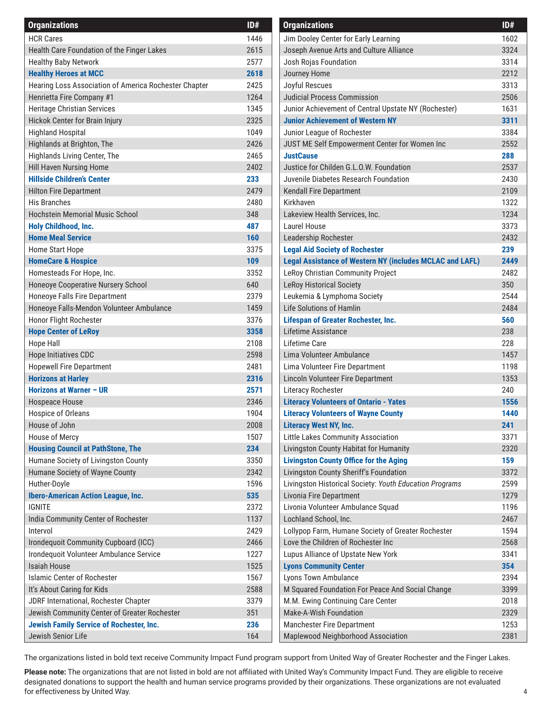| <b>Organizations</b>                                       | ID#  | <b>Organizations</b>                                            | ID# |
|------------------------------------------------------------|------|-----------------------------------------------------------------|-----|
| <b>HCR Cares</b>                                           | 1446 | Jim Dooley Center for Early Learning                            | 160 |
| Health Care Foundation of the Finger Lakes                 | 2615 | Joseph Avenue Arts and Culture Alliance                         | 332 |
| <b>Healthy Baby Network</b>                                | 2577 | Josh Rojas Foundation                                           | 331 |
| <b>Healthy Heroes at MCC</b>                               | 2618 | Journey Home                                                    | 221 |
| Hearing Loss Association of America Rochester Chapter      | 2425 | Joyful Rescues                                                  | 331 |
| Henrietta Fire Company #1                                  | 1264 | <b>Judicial Process Commission</b>                              | 250 |
| Heritage Christian Services                                | 1345 | Junior Achievement of Central Upstate NY (Rochester)            | 163 |
| Hickok Center for Brain Injury                             | 2325 | <b>Junior Achievement of Western NY</b>                         | 331 |
| <b>Highland Hospital</b>                                   | 1049 | Junior League of Rochester                                      | 338 |
| Highlands at Brighton, The                                 | 2426 | JUST ME Self Empowerment Center for Women Inc                   | 255 |
| Highlands Living Center, The                               | 2465 | <b>JustCause</b>                                                | 288 |
| Hill Haven Nursing Home                                    | 2402 | Justice for Childen G.L.O.W. Foundation                         | 253 |
| <b>Hillside Children's Center</b>                          | 233  | Juvenile Diabetes Research Foundation                           | 243 |
| <b>Hilton Fire Department</b>                              | 2479 | Kendall Fire Department                                         | 210 |
| His Branches                                               | 2480 | Kirkhaven                                                       | 132 |
| <b>Hochstein Memorial Music School</b>                     | 348  | Lakeview Health Services, Inc.                                  | 123 |
| Holy Childhood, Inc.                                       | 487  | Laurel House                                                    | 337 |
| <b>Home Meal Service</b>                                   | 160  | Leadership Rochester                                            | 243 |
| Home Start Hope                                            | 3375 | <b>Legal Aid Society of Rochester</b>                           | 239 |
| <b>HomeCare &amp; Hospice</b>                              | 109  | <b>Legal Assistance of Western NY (includes MCLAC and LAFL)</b> | 244 |
| Homesteads For Hope, Inc.                                  | 3352 | LeRoy Christian Community Project                               | 248 |
| Honeoye Cooperative Nursery School                         | 640  | <b>LeRoy Historical Society</b>                                 | 350 |
| Honeoye Falls Fire Department                              | 2379 | Leukemia & Lymphoma Society                                     | 254 |
| Honeoye Falls-Mendon Volunteer Ambulance                   | 1459 | <b>Life Solutions of Hamlin</b>                                 | 248 |
| Honor Flight Rochester                                     | 3376 | <b>Lifespan of Greater Rochester, Inc.</b>                      | 560 |
| <b>Hope Center of LeRoy</b>                                | 3358 | Lifetime Assistance                                             | 238 |
| <b>Hope Hall</b>                                           | 2108 | Lifetime Care                                                   | 228 |
| Hope Initiatives CDC                                       | 2598 | Lima Volunteer Ambulance                                        | 145 |
| <b>Hopewell Fire Department</b>                            | 2481 | Lima Volunteer Fire Department                                  | 119 |
| <b>Horizons at Harley</b>                                  | 2316 | Lincoln Volunteer Fire Department                               | 135 |
| <b>Horizons at Warner - UR</b>                             | 2571 | Literacy Rochester                                              | 240 |
| Hospeace House                                             | 2346 | <b>Literacy Volunteers of Ontario - Yates</b>                   | 155 |
| Hospice of Orleans                                         | 1904 | <b>Literacy Volunteers of Wayne County</b>                      | 144 |
| House of John                                              | 2008 | <b>Literacy West NY, Inc.</b>                                   | 241 |
| House of Mercy                                             | 1507 | Little Lakes Community Association                              | 337 |
| <b>Housing Council at PathStone, The</b>                   | 234  | Livingston County Habitat for Humanity                          | 232 |
| Humane Society of Livingston County                        | 3350 | <b>Livingston County Office for the Aging</b>                   | 159 |
| Humane Society of Wayne County                             | 2342 | Livingston County Sheriff's Foundation                          | 337 |
|                                                            | 1596 | Livingston Historical Society: Youth Education Programs         | 259 |
| Huther-Doyle                                               | 535  | Livonia Fire Department                                         | 127 |
| <b>Ibero-American Action League, Inc.</b><br><b>IGNITE</b> | 2372 | Livonia Volunteer Ambulance Squad                               | 119 |
|                                                            |      |                                                                 | 246 |
| India Community Center of Rochester                        | 1137 | Lochland School, Inc.                                           |     |
| Intervol                                                   | 2429 | Lollypop Farm, Humane Society of Greater Rochester              | 159 |
| Irondequoit Community Cupboard (ICC)                       | 2466 | Love the Children of Rochester Inc                              | 256 |
| Irondequoit Volunteer Ambulance Service                    | 1227 | Lupus Alliance of Upstate New York                              | 334 |
| Isaiah House                                               | 1525 | <b>Lyons Community Center</b>                                   | 354 |
| <b>Islamic Center of Rochester</b>                         | 1567 | Lyons Town Ambulance                                            | 239 |
| It's About Caring for Kids                                 | 2588 | M Squared Foundation For Peace And Social Change                | 339 |
| JDRF International, Rochester Chapter                      | 3379 | M.M. Ewing Continuing Care Center                               | 201 |
| Jewish Community Center of Greater Rochester               | 351  | Make-A-Wish Foundation                                          | 232 |
| <b>Jewish Family Service of Rochester, Inc.</b>            | 236  | <b>Manchester Fire Department</b>                               | 125 |
| Jewish Senior Life                                         | 164  | Maplewood Neighborhood Association                              | 238 |

| <b>Organizations</b>                                            | ID#  |
|-----------------------------------------------------------------|------|
| Jim Dooley Center for Early Learning                            | 1602 |
| Joseph Avenue Arts and Culture Alliance                         | 3324 |
| Josh Rojas Foundation                                           | 3314 |
| Journey Home                                                    | 2212 |
| Joyful Rescues                                                  | 3313 |
| Judicial Process Commission                                     | 2506 |
| Junior Achievement of Central Upstate NY (Rochester)            | 1631 |
| <b>Junior Achievement of Western NY</b>                         | 3311 |
| Junior League of Rochester                                      | 3384 |
| JUST ME Self Empowerment Center for Women Inc                   | 2552 |
| <b>JustCause</b>                                                | 288  |
| Justice for Childen G.L.O.W. Foundation                         | 2537 |
| Juvenile Diabetes Research Foundation                           | 2430 |
| Kendall Fire Department                                         | 2109 |
| Kirkhaven                                                       | 1322 |
| Lakeview Health Services, Inc.                                  | 1234 |
| Laurel House                                                    | 3373 |
| Leadership Rochester                                            | 2432 |
| <b>Legal Aid Society of Rochester</b>                           | 239  |
| <b>Legal Assistance of Western NY (includes MCLAC and LAFL)</b> | 2449 |
| LeRoy Christian Community Project                               | 2482 |
| <b>LeRoy Historical Society</b>                                 | 350  |
| Leukemia & Lymphoma Society                                     | 2544 |
| Life Solutions of Hamlin                                        | 2484 |
| <b>Lifespan of Greater Rochester, Inc.</b>                      | 560  |
| Lifetime Assistance                                             | 238  |
| Lifetime Care                                                   | 228  |
| Lima Volunteer Ambulance                                        | 1457 |
| Lima Volunteer Fire Department                                  | 1198 |
| Lincoln Volunteer Fire Department                               | 1353 |
| Literacy Rochester                                              | 240  |
| <b>Literacy Volunteers of Ontario - Yates</b>                   | 1556 |
| <b>Literacy Volunteers of Wayne County</b>                      | 1440 |
| <b>Literacy West NY, Inc.</b>                                   | 241  |
| Little Lakes Community Association                              | 3371 |
| Livingston County Habitat for Humanity                          | 2320 |
| <b>Livingston County Office for the Aging</b>                   | 159  |
| Livingston County Sheriff's Foundation                          | 3372 |
| Livingston Historical Society: Youth Education Programs         | 2599 |
| Livonia Fire Department                                         | 1279 |
| Livonia Volunteer Ambulance Squad                               | 1196 |
| Lochland School, Inc.                                           | 2467 |
| Lollypop Farm, Humane Society of Greater Rochester              | 1594 |
| Love the Children of Rochester Inc                              | 2568 |
| Lupus Alliance of Upstate New York                              | 3341 |
| <b>Lyons Community Center</b>                                   | 354  |
| Lyons Town Ambulance                                            | 2394 |
| M Squared Foundation For Peace And Social Change                | 3399 |
| M.M. Ewing Continuing Care Center                               | 2018 |
| Make-A-Wish Foundation                                          | 2329 |
| <b>Manchester Fire Department</b>                               | 1253 |
| Maplewood Neighborhood Association                              | 2381 |
|                                                                 |      |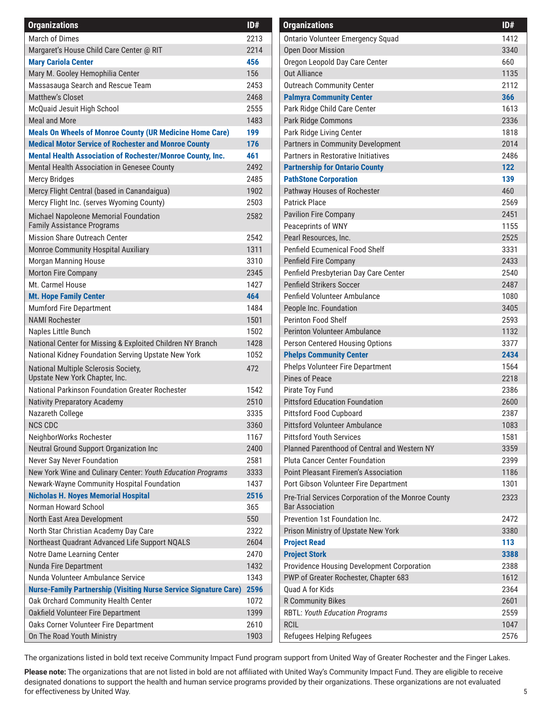| <b>Organizations</b>                                                    | ID#  | <b>Organizations</b>                                | ID# |
|-------------------------------------------------------------------------|------|-----------------------------------------------------|-----|
| March of Dimes                                                          | 2213 | <b>Ontario Volunteer Emergency Squad</b>            | 141 |
| Margaret's House Child Care Center @ RIT                                | 2214 | <b>Open Door Mission</b>                            | 334 |
| <b>Mary Cariola Center</b>                                              | 456  | Oregon Leopold Day Care Center                      | 660 |
| Mary M. Gooley Hemophilia Center                                        | 156  | <b>Out Alliance</b>                                 | 113 |
| Massasauga Search and Rescue Team                                       | 2453 | <b>Outreach Community Center</b>                    | 211 |
| <b>Matthew's Closet</b>                                                 | 2468 | <b>Palmyra Community Center</b>                     | 366 |
| McQuaid Jesuit High School                                              | 2555 | Park Ridge Child Care Center                        | 161 |
| Meal and More                                                           | 1483 | Park Ridge Commons                                  | 233 |
| <b>Meals On Wheels of Monroe County (UR Medicine Home Care)</b>         | 199  | Park Ridge Living Center                            | 181 |
| <b>Medical Motor Service of Rochester and Monroe County</b>             | 176  | Partners in Community Development                   | 201 |
| <b>Mental Health Association of Rochester/Monroe County, Inc.</b>       | 461  | Partners in Restorative Initiatives                 | 248 |
| Mental Health Association in Genesee County                             | 2492 | <b>Partnership for Ontario County</b>               | 122 |
| <b>Mercy Bridges</b>                                                    | 2485 | <b>PathStone Corporation</b>                        | 139 |
| Mercy Flight Central (based in Canandaigua)                             | 1902 | Pathway Houses of Rochester                         | 460 |
| Mercy Flight Inc. (serves Wyoming County)                               | 2503 | Patrick Place                                       | 256 |
| Michael Napoleone Memorial Foundation                                   | 2582 | <b>Pavilion Fire Company</b>                        | 245 |
| <b>Family Assistance Programs</b>                                       |      | Peaceprints of WNY                                  | 115 |
| Mission Share Outreach Center                                           | 2542 | Pearl Resources, Inc.                               | 252 |
| Monroe Community Hospital Auxiliary                                     | 1311 | Penfield Ecumenical Food Shelf                      | 333 |
| Morgan Manning House                                                    | 3310 | <b>Penfield Fire Company</b>                        | 243 |
| Morton Fire Company                                                     | 2345 | Penfield Presbyterian Day Care Center               | 254 |
| Mt. Carmel House                                                        | 1427 | <b>Penfield Strikers Soccer</b>                     | 248 |
| <b>Mt. Hope Family Center</b>                                           | 464  | Penfield Volunteer Ambulance                        | 108 |
| <b>Mumford Fire Department</b>                                          | 1484 | People Inc. Foundation                              | 340 |
| <b>NAMI Rochester</b>                                                   | 1501 | <b>Perinton Food Shelf</b>                          | 259 |
| Naples Little Bunch                                                     | 1502 | <b>Perinton Volunteer Ambulance</b>                 | 113 |
| National Center for Missing & Exploited Children NY Branch              | 1428 | Person Centered Housing Options                     | 337 |
| National Kidney Foundation Serving Upstate New York                     | 1052 | <b>Phelps Community Center</b>                      | 243 |
| National Multiple Sclerosis Society,                                    | 472  | <b>Phelps Volunteer Fire Department</b>             | 156 |
| Upstate New York Chapter, Inc.                                          |      | <b>Pines of Peace</b>                               | 221 |
| National Parkinson Foundation Greater Rochester                         | 1542 | Pirate Toy Fund                                     | 238 |
| <b>Nativity Preparatory Academy</b>                                     | 2510 | <b>Pittsford Education Foundation</b>               | 260 |
| Nazareth College                                                        | 3335 | <b>Pittsford Food Cupboard</b>                      | 238 |
| <b>NCS CDC</b>                                                          | 3360 | <b>Pittsford Volunteer Ambulance</b>                | 108 |
| NeighborWorks Rochester                                                 | 1167 | <b>Pittsford Youth Services</b>                     | 158 |
| Neutral Ground Support Organization Inc                                 | 2400 | Planned Parenthood of Central and Western NY        | 335 |
| Never Say Never Foundation                                              | 2581 | <b>Pluta Cancer Center Foundation</b>               | 239 |
| New York Wine and Culinary Center: Youth Education Programs             | 3333 | <b>Point Pleasant Firemen's Association</b>         | 118 |
| Newark-Wayne Community Hospital Foundation                              | 1437 | Port Gibson Volunteer Fire Department               | 130 |
| <b>Nicholas H. Noyes Memorial Hospital</b>                              | 2516 | Pre-Trial Services Corporation of the Monroe County | 232 |
| Norman Howard School                                                    | 365  | <b>Bar Association</b>                              |     |
| North East Area Development                                             | 550  | Prevention 1st Foundation Inc.                      | 247 |
| North Star Christian Academy Day Care                                   | 2322 | Prison Ministry of Upstate New York                 | 338 |
| Northeast Quadrant Advanced Life Support NQALS                          | 2604 | <b>Project Read</b>                                 | 113 |
| Notre Dame Learning Center                                              | 2470 | <b>Project Stork</b>                                | 338 |
| Nunda Fire Department                                                   | 1432 | Providence Housing Development Corporation          | 238 |
| Nunda Volunteer Ambulance Service                                       | 1343 | PWP of Greater Rochester, Chapter 683               | 161 |
| <b>Nurse-Family Partnership (Visiting Nurse Service Signature Care)</b> | 2596 | Quad A for Kids                                     | 236 |
| Oak Orchard Community Health Center                                     | 1072 | <b>R Community Bikes</b>                            | 260 |
| Oakfield Volunteer Fire Department                                      | 1399 | <b>RBTL: Youth Education Programs</b>               | 255 |
| Oaks Corner Volunteer Fire Department                                   | 2610 | <b>RCIL</b>                                         | 104 |
| On The Road Youth Ministry                                              | 1903 | Refugees Helping Refugees                           | 257 |

| <b>Organizations</b>                                                          | ID#  |
|-------------------------------------------------------------------------------|------|
| <b>Ontario Volunteer Emergency Squad</b>                                      | 1412 |
| <b>Open Door Mission</b>                                                      | 3340 |
| Oregon Leopold Day Care Center                                                | 660  |
| <b>Out Alliance</b>                                                           | 1135 |
| <b>Outreach Community Center</b>                                              | 2112 |
| <b>Palmyra Community Center</b>                                               | 366  |
| Park Ridge Child Care Center                                                  | 1613 |
| Park Ridge Commons                                                            | 2336 |
| Park Ridge Living Center                                                      | 1818 |
| Partners in Community Development                                             | 2014 |
| Partners in Restorative Initiatives                                           | 2486 |
| <b>Partnership for Ontario County</b>                                         | 122  |
| <b>PathStone Corporation</b>                                                  | 139  |
| Pathway Houses of Rochester                                                   | 460  |
| <b>Patrick Place</b>                                                          | 2569 |
| <b>Pavilion Fire Company</b>                                                  | 2451 |
| Peaceprints of WNY                                                            | 1155 |
| Pearl Resources, Inc.                                                         | 2525 |
| Penfield Ecumenical Food Shelf                                                | 3331 |
| <b>Penfield Fire Company</b>                                                  | 2433 |
| Penfield Presbyterian Day Care Center                                         | 2540 |
| <b>Penfield Strikers Soccer</b>                                               | 2487 |
| Penfield Volunteer Ambulance                                                  | 1080 |
| People Inc. Foundation                                                        | 3405 |
| <b>Perinton Food Shelf</b>                                                    | 2593 |
| <b>Perinton Volunteer Ambulance</b>                                           | 1132 |
| Person Centered Housing Options                                               | 3377 |
| <b>Phelps Community Center</b>                                                | 2434 |
| <b>Phelps Volunteer Fire Department</b>                                       | 1564 |
| Pines of Peace                                                                | 2218 |
| Pirate Toy Fund                                                               | 2386 |
| <b>Pittsford Education Foundation</b>                                         | 2600 |
| <b>Pittsford Food Cupboard</b>                                                | 2387 |
| <b>Pittsford Volunteer Ambulance</b>                                          | 1083 |
| <b>Pittsford Youth Services</b>                                               | 1581 |
| Planned Parenthood of Central and Western NY                                  | 3359 |
| <b>Pluta Cancer Center Foundation</b>                                         | 2399 |
| <b>Point Pleasant Firemen's Association</b>                                   | 1186 |
| Port Gibson Volunteer Fire Department                                         | 1301 |
| Pre-Trial Services Corporation of the Monroe County<br><b>Bar Association</b> | 2323 |
| Prevention 1st Foundation Inc.                                                | 2472 |
| Prison Ministry of Upstate New York                                           | 3380 |
| <b>Project Read</b>                                                           | 113  |
| <b>Project Stork</b>                                                          | 3388 |
| Providence Housing Development Corporation                                    | 2388 |
| PWP of Greater Rochester, Chapter 683                                         | 1612 |
| Quad A for Kids                                                               | 2364 |
| <b>R Community Bikes</b>                                                      | 2601 |
| <b>RBTL: Youth Education Programs</b>                                         | 2559 |
| <b>RCIL</b>                                                                   | 1047 |
| Refugees Helping Refugees                                                     | 2576 |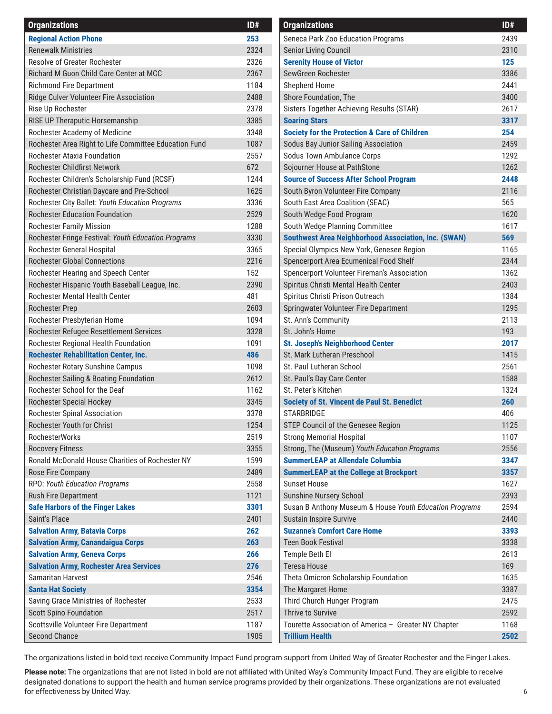| <b>Organizations</b>                                  | ID#  | <b>Organizations</b>                                        | ID# |
|-------------------------------------------------------|------|-------------------------------------------------------------|-----|
| <b>Regional Action Phone</b>                          | 253  | Seneca Park Zoo Education Programs                          | 243 |
| <b>Renewalk Ministries</b>                            | 2324 | <b>Senior Living Council</b>                                | 231 |
| Resolve of Greater Rochester                          | 2326 | <b>Serenity House of Victor</b>                             | 125 |
| Richard M Guon Child Care Center at MCC               | 2367 | SewGreen Rochester                                          | 338 |
| <b>Richmond Fire Department</b>                       | 1184 | Shepherd Home                                               | 244 |
| Ridge Culver Volunteer Fire Association               | 2488 | Shore Foundation, The                                       | 340 |
| Rise Up Rochester                                     | 2378 | Sisters Together Achieving Results (STAR)                   | 261 |
| RISE UP Theraputic Horsemanship                       | 3385 | <b>Soaring Stars</b>                                        | 331 |
| Rochester Academy of Medicine                         | 3348 | <b>Society for the Protection &amp; Care of Children</b>    | 254 |
| Rochester Area Right to Life Committee Education Fund | 1087 | Sodus Bay Junior Sailing Association                        | 245 |
| Rochester Ataxia Foundation                           | 2557 | Sodus Town Ambulance Corps                                  | 129 |
| Rochester Childfirst Network                          | 672  | Sojourner House at PathStone                                | 126 |
| Rochester Children's Scholarship Fund (RCSF)          | 1244 | <b>Source of Success After School Program</b>               | 244 |
| Rochester Christian Daycare and Pre-School            | 1625 | South Byron Volunteer Fire Company                          | 211 |
| Rochester City Ballet: Youth Education Programs       | 3336 | South East Area Coalition (SEAC)                            | 565 |
| <b>Rochester Education Foundation</b>                 | 2529 | South Wedge Food Program                                    | 162 |
| <b>Rochester Family Mission</b>                       | 1288 | South Wedge Planning Committee                              | 161 |
| Rochester Fringe Festival: Youth Education Programs   | 3330 | <b>Southwest Area Neighborhood Association, Inc. (SWAN)</b> | 569 |
| Rochester General Hospital                            | 3365 | Special Olympics New York, Genesee Region                   | 116 |
| <b>Rochester Global Connections</b>                   | 2216 | Spencerport Area Ecumenical Food Shelf                      | 234 |
| Rochester Hearing and Speech Center                   | 152  | Spencerport Volunteer Fireman's Association                 | 136 |
| Rochester Hispanic Youth Baseball League, Inc.        | 2390 | Spiritus Christi Mental Health Center                       | 240 |
| Rochester Mental Health Center                        | 481  | Spiritus Christi Prison Outreach                            | 138 |
| <b>Rochester Prep</b>                                 | 2603 | Springwater Volunteer Fire Department                       | 129 |
| Rochester Presbyterian Home                           | 1094 | St. Ann's Community                                         | 211 |
| Rochester Refugee Resettlement Services               | 3328 | St. John's Home                                             | 193 |
| Rochester Regional Health Foundation                  | 1091 | <b>St. Joseph's Neighborhood Center</b>                     | 201 |
| <b>Rochester Rehabilitation Center, Inc.</b>          | 486  | St. Mark Lutheran Preschool                                 | 141 |
| Rochester Rotary Sunshine Campus                      | 1098 | St. Paul Lutheran School                                    | 256 |
| Rochester Sailing & Boating Foundation                | 2612 | St. Paul's Day Care Center                                  | 158 |
| Rochester School for the Deaf                         | 1162 | St. Peter's Kitchen                                         | 132 |
| Rochester Special Hockey                              | 3345 | <b>Society of St. Vincent de Paul St. Benedict</b>          | 260 |
| Rochester Spinal Association                          | 3378 | <b>STARBRIDGE</b>                                           | 406 |
| Rochester Youth for Christ                            | 1254 | STEP Council of the Genesee Region                          | 112 |
| <b>RochesterWorks</b>                                 | 2519 | <b>Strong Memorial Hospital</b>                             | 110 |
| <b>Rocovery Fitness</b>                               | 3355 | Strong, The (Museum) Youth Education Programs               | 255 |
| Ronald McDonald House Charities of Rochester NY       | 1599 | <b>SummerLEAP at Allendale Columbia</b>                     | 334 |
| Rose Fire Company                                     | 2489 | <b>SummerLEAP at the College at Brockport</b>               | 335 |
| RPO: Youth Education Programs                         | 2558 | <b>Sunset House</b>                                         | 162 |
| Rush Fire Department                                  | 1121 | Sunshine Nursery School                                     | 239 |
| <b>Safe Harbors of the Finger Lakes</b>               | 3301 | Susan B Anthony Museum & House Youth Education Programs     | 259 |
| Saint's Place                                         | 2401 | <b>Sustain Inspire Survive</b>                              | 244 |
| <b>Salvation Army, Batavia Corps</b>                  | 262  | <b>Suzanne's Comfort Care Home</b>                          | 339 |
| <b>Salvation Army, Canandaigua Corps</b>              | 263  | <b>Teen Book Festival</b>                                   | 333 |
| <b>Salvation Army, Geneva Corps</b>                   | 266  | Temple Beth El                                              | 261 |
| <b>Salvation Army, Rochester Area Services</b>        | 276  | <b>Teresa House</b>                                         | 169 |
| <b>Samaritan Harvest</b>                              | 2546 | Theta Omicron Scholarship Foundation                        | 163 |
| <b>Santa Hat Society</b>                              | 3354 | The Margaret Home                                           | 338 |
| Saving Grace Ministries of Rochester                  | 2533 | Third Church Hunger Program                                 | 247 |
| <b>Scott Spino Foundation</b>                         | 2517 | Thrive to Survive                                           | 259 |
| Scottsville Volunteer Fire Department                 | 1187 | Tourette Association of America - Greater NY Chapter        | 116 |
| <b>Second Chance</b>                                  | 1905 | <b>Trillium Health</b>                                      | 250 |

| <b>Organizations</b>                                        | ID#  |
|-------------------------------------------------------------|------|
| Seneca Park Zoo Education Programs                          | 2439 |
| Senior Living Council                                       | 2310 |
| <b>Serenity House of Victor</b>                             | 125  |
| SewGreen Rochester                                          | 3386 |
| <b>Shepherd Home</b>                                        | 2441 |
| Shore Foundation, The                                       | 3400 |
| Sisters Together Achieving Results (STAR)                   | 2617 |
| <b>Soaring Stars</b>                                        | 3317 |
| <b>Society for the Protection &amp; Care of Children</b>    | 254  |
| Sodus Bay Junior Sailing Association                        | 2459 |
| Sodus Town Ambulance Corps                                  | 1292 |
| Sojourner House at PathStone                                | 1262 |
| <b>Source of Success After School Program</b>               | 2448 |
| South Byron Volunteer Fire Company                          | 2116 |
| South East Area Coalition (SEAC)                            | 565  |
| South Wedge Food Program                                    | 1620 |
| South Wedge Planning Committee                              | 1617 |
| <b>Southwest Area Neighborhood Association, Inc. (SWAN)</b> | 569  |
| Special Olympics New York, Genesee Region                   | 1165 |
| Spencerport Area Ecumenical Food Shelf                      | 2344 |
| Spencerport Volunteer Fireman's Association                 | 1362 |
| Spiritus Christi Mental Health Center                       | 2403 |
| Spiritus Christi Prison Outreach                            | 1384 |
| Springwater Volunteer Fire Department                       | 1295 |
| St. Ann's Community                                         | 2113 |
| St. John's Home                                             | 193  |
| <b>St. Joseph's Neighborhood Center</b>                     | 2017 |
| St. Mark Lutheran Preschool                                 | 1415 |
| St. Paul Lutheran School                                    | 2561 |
| St. Paul's Day Care Center                                  | 1588 |
| St. Peter's Kitchen                                         | 1324 |
| <b>Society of St. Vincent de Paul St. Benedict</b>          | 260  |
| <b>STARBRIDGE</b>                                           | 406  |
| STEP Council of the Genesee Region                          | 1125 |
| <b>Strong Memorial Hospital</b>                             | 1107 |
| Strong, The (Museum) Youth Education Programs               | 2556 |
| <b>SummerLEAP at Allendale Columbia</b>                     | 3347 |
| <b>SummerLEAP at the College at Brockport</b>               | 3357 |
| <b>Sunset House</b>                                         | 1627 |
| Sunshine Nursery School                                     | 2393 |
| Susan B Anthony Museum & House Youth Education Programs     | 2594 |
| <b>Sustain Inspire Survive</b>                              | 2440 |
| <b>Suzanne's Comfort Care Home</b>                          | 3393 |
| <b>Teen Book Festival</b>                                   | 3338 |
| Temple Beth El                                              | 2613 |
| <b>Teresa House</b>                                         | 169  |
| Theta Omicron Scholarship Foundation                        | 1635 |
|                                                             |      |
| The Margaret Home                                           | 3387 |
| Third Church Hunger Program<br><b>Thrive to Survive</b>     | 2475 |
|                                                             | 2592 |
| Tourette Association of America - Greater NY Chapter        | 1168 |
| <b>Trillium Health</b>                                      | 2502 |